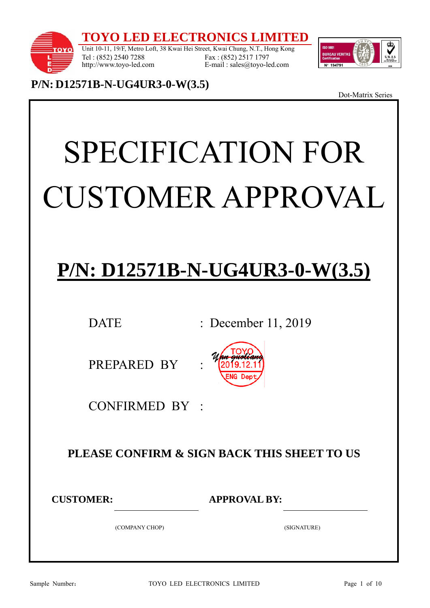**TO LED ELECTRONICS L** 



Unit 10-11, 19/F, Metro Loft, 38 Kwai Hei Street, Kwai Chung, N.T., Hong Kong Tel : (852) 2540 7288 http://www.toyo-led.com Fax : (852) 2517 1797 E-mail : sales@toyo-led.com



**P/N: D12571B-N-UG4UR3-0-W(3.5)** 

Dot-Matrix Series

# SPECIFICATION FOR CUSTOMER APPROVAL

# **P/N: D12571B-N-UG4UR3-0-W(3.5)**

DATE : December 11, 2019

PREPARED BY



CONFIRMED BY :

# **PLEASE CONFIRM & SIGN BACK THIS SHEET TO US**

**CUSTOMER: APPROVAL BY:** 

(COMPANY CHOP) (SIGNATURE)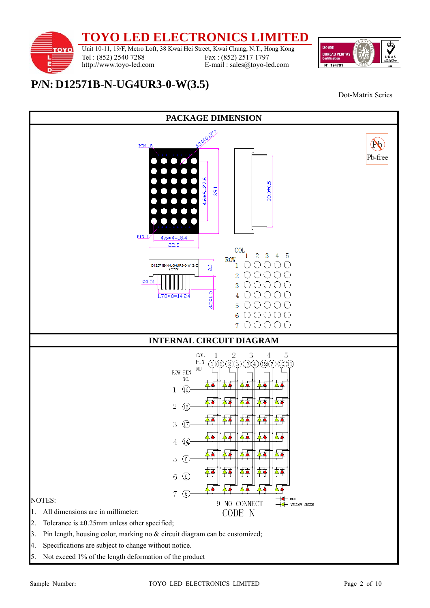**TOYO LED ELECTRONICS LIMITED** 

τοχο

Tel : (852) 2540 7288 http://www.toyo-led.com

Unit 10-11, 19/F, Metro Loft, 38 Kwai Hei Street, Kwai Chung, N.T., Hong Kong Fax : (852) 2517 1797 E-mail : sales@toyo-led.com



**P/N: D12571B-N-UG4UR3-0-W(3.5)** 



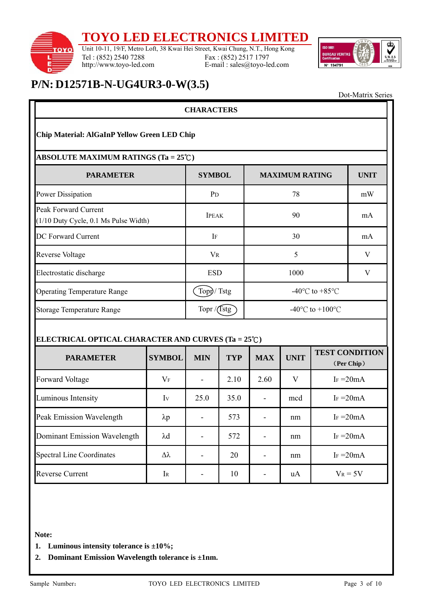### **TOYO LED ELECTRONICS LIMITED**



Tel : (852) 2540 7288 http://www.toyo-led.com

Unit 10-11, 19/F, Metro Loft, 38 Kwai Hei Street, Kwai Chung, N.T., Hong Kong Fax : (852) 2517 1797 E-mail : sales@toyo-led.com



Dot-Matrix Series

### **P/N: D12571B-N-UG4UR3-0-W(3.5)**

| <b>CHARACTERS</b>                                                    |                       |                          |            |                                       |              |                                     |    |
|----------------------------------------------------------------------|-----------------------|--------------------------|------------|---------------------------------------|--------------|-------------------------------------|----|
| Chip Material: AlGaInP Yellow Green LED Chip                         |                       |                          |            |                                       |              |                                     |    |
| ABSOLUTE MAXIMUM RATINGS (Ta = $25^{\circ}$ C)                       |                       |                          |            |                                       |              |                                     |    |
| <b>PARAMETER</b>                                                     |                       | <b>SYMBOL</b>            |            | <b>MAXIMUM RATING</b>                 | <b>UNIT</b>  |                                     |    |
| <b>Power Dissipation</b>                                             |                       | P <sub>D</sub>           |            | 78                                    |              |                                     | mW |
| <b>Peak Forward Current</b><br>(1/10 Duty Cycle, 0.1 Ms Pulse Width) |                       | <b>IPEAK</b>             |            | 90                                    |              |                                     | mA |
| <b>DC Forward Current</b>                                            |                       | IF                       |            | 30                                    |              |                                     | mA |
| <b>Reverse Voltage</b>                                               |                       | <b>VR</b>                |            | 5                                     |              |                                     | V  |
| Electrostatic discharge                                              |                       | <b>ESD</b>               |            | 1000                                  |              |                                     | V  |
| Operating Temperature Range                                          |                       | Topp/Tstg                |            | -40 $^{\circ}$ C to +85 $^{\circ}$ C  |              |                                     |    |
| <b>Storage Temperature Range</b>                                     |                       | Topr /(Tstg              |            | -40 $^{\circ}$ C to +100 $^{\circ}$ C |              |                                     |    |
| ELECTRICAL OPTICAL CHARACTER AND CURVES (Ta = 25°C)                  |                       |                          |            |                                       |              |                                     |    |
| <b>PARAMETER</b>                                                     | <b>SYMBOL</b>         | <b>MIN</b>               | <b>TYP</b> | <b>MAX</b>                            | <b>UNIT</b>  | <b>TEST CONDITION</b><br>(Per Chip) |    |
| <b>Forward Voltage</b>                                               | $V_F$                 | $\blacksquare$           | 2.10       | 2.60                                  | $\mathbf{V}$ | $Ir = 20mA$                         |    |
| Luminous Intensity                                                   | Iv                    | 25.0                     | 35.0       |                                       | mcd          | $Ir = 20mA$                         |    |
| <b>Peak Emission Wavelength</b>                                      | $\lambda p$           |                          | 573        |                                       | nm           | $I_F = 20mA$                        |    |
| Dominant Emission Wavelength                                         | $\lambda$ d           |                          | 572        | $\overline{\phantom{a}}$              | nm           | $I_F = 20mA$                        |    |
| <b>Spectral Line Coordinates</b>                                     | $\Delta \lambda$      | $\overline{\phantom{a}}$ | 20         | $\overline{\phantom{a}}$              | nm           | I <sub>F</sub> $=20mA$              |    |
| <b>Reverse Current</b>                                               | $\rm I\scriptstyle R$ | $\overline{\phantom{0}}$ | 10         |                                       | uA           | $V_R = 5V$                          |    |

**Note:** 

- **1. Luminous intensity tolerance is ±10%;**
- **2. Dominant Emission Wavelength tolerance is ±1nm.**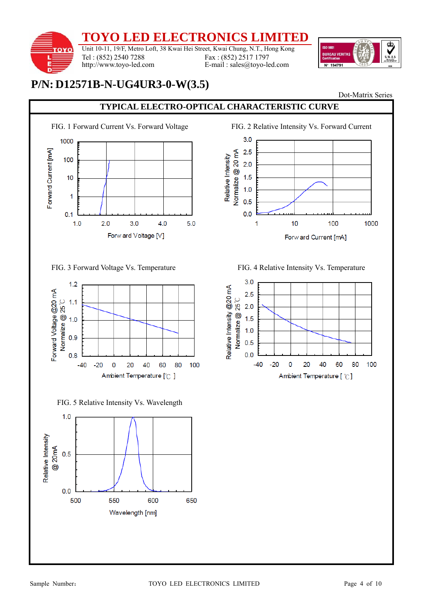

## **P/N: D12571B-N-UG4UR3-0-W(3.5)**

Dot-Matrix Series

### **TYPICAL ELECTRO-OPTICAL CHARACTERISTIC CURVE**



FIG. 3 Forward Voltage Vs. Temperature FIG. 4 Relative Intensity Vs. Temperature



FIG. 5 Relative Intensity Vs. Wavelength





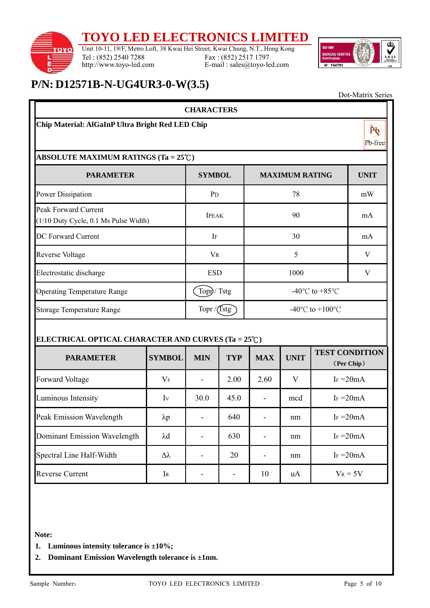### **TOYO LED ELECTRONICS LIMITED**



Tel : (852) 2540 7288 http://www.toyo-led.com

Unit 10-11, 19/F, Metro Loft, 38 Kwai Hei Street, Kwai Chung, N.T., Hong Kong Fax : (852) 2517 1797 E-mail : sales@toyo-led.com



## **P/N: D12571B-N-UG4UR3-0-W(3.5)**

|                                                               |                      | <b>CHARACTERS</b>        |               |                                                      |             |              |                                     |
|---------------------------------------------------------------|----------------------|--------------------------|---------------|------------------------------------------------------|-------------|--------------|-------------------------------------|
| Chip Material: AlGaInP Ultra Bright Red LED Chip              |                      |                          |               |                                                      |             |              | $(\mathbb{N})$<br>Pb-free           |
| <b>ABSOLUTE MAXIMUM RATINGS (Ta = 25°C)</b>                   |                      |                          |               |                                                      |             |              |                                     |
| <b>PARAMETER</b>                                              |                      | <b>SYMBOL</b>            |               | <b>MAXIMUM RATING</b>                                |             |              | <b>UNIT</b>                         |
| Power Dissipation                                             |                      | P <sub>D</sub>           |               | 78                                                   |             |              | mW                                  |
| Peak Forward Current<br>(1/10 Duty Cycle, 0.1 Ms Pulse Width) |                      | <b>IPEAK</b>             |               | 90                                                   |             |              | mA                                  |
| DC Forward Current                                            |                      | IF                       |               | 30                                                   |             |              | mA                                  |
| Reverse Voltage                                               |                      | <b>VR</b>                |               | 5                                                    |             |              | V                                   |
| Electrostatic discharge                                       |                      | <b>ESD</b>               |               | 1000                                                 |             |              | V                                   |
| <b>Operating Temperature Range</b>                            |                      | Topp/Tstg                |               | -40 $\mathrm{^{\circ}C}$ to +85 $\mathrm{^{\circ}C}$ |             |              |                                     |
| <b>Storage Temperature Range</b>                              |                      | Topr $/$ (Tstg)          |               | -40 $^{\circ}$ C to +100 $^{\circ}$ C                |             |              |                                     |
| ELECTRICAL OPTICAL CHARACTER AND CURVES (Ta = 25°C)           |                      |                          |               |                                                      |             |              |                                     |
| <b>PARAMETER</b>                                              | <b>SYMBOL</b>        | <b>MIN</b>               | <b>TYP</b>    | <b>MAX</b>                                           | <b>UNIT</b> |              | <b>TEST CONDITION</b><br>(Per Chip) |
| <b>Forward Voltage</b>                                        | $V_F$                | $\overline{\phantom{a}}$ | 2.00          | 2.60                                                 | V           | $Ir = 20mA$  |                                     |
| Luminous Intensity                                            | Iv                   | 30.0                     | 45.0          |                                                      | mcd         | $I_F = 20mA$ |                                     |
| Peak Emission Wavelength                                      | $\lambda p$          |                          | 640           |                                                      | nm          | $Ir = 20mA$  |                                     |
| <b>Dominant Emission Wavelength</b>                           | $\lambda \mathrm{d}$ |                          | 630           |                                                      | nm          | $I_F = 20mA$ |                                     |
| Spectral Line Half-Width                                      | $\Delta \lambda$     |                          | 20            |                                                      | nm          | $I_F = 20mA$ |                                     |
| <b>Reverse Current</b>                                        | $I_{R}$              | $\overline{\phantom{0}}$ | $\frac{1}{2}$ | 10                                                   | uA          | $V_R = 5V$   |                                     |

**Note:** 

- **1. Luminous intensity tolerance is ±10%;**
- **2. Dominant Emission Wavelength tolerance is ±1nm.**

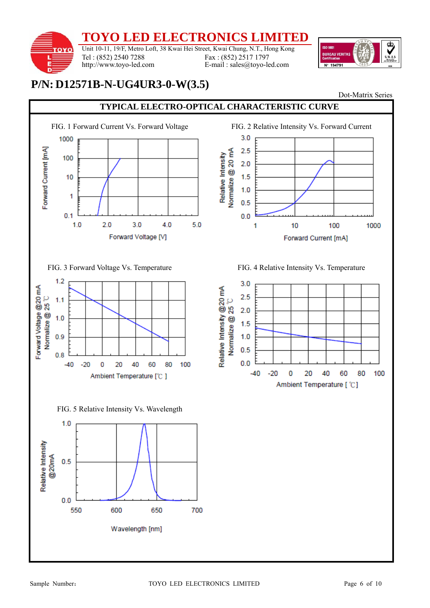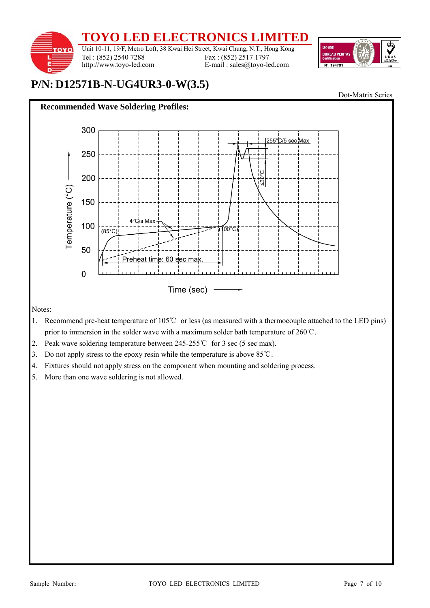



Notes:

- 1. Recommend pre-heat temperature of 105℃ or less (as measured with a thermocouple attached to the LED pins) prior to immersion in the solder wave with a maximum solder bath temperature of 260℃.
- 2. Peak wave soldering temperature between 245-255℃ for 3 sec (5 sec max).
- 3. Do not apply stress to the epoxy resin while the temperature is above 85℃.
- 4. Fixtures should not apply stress on the component when mounting and soldering process.
- 5. More than one wave soldering is not allowed.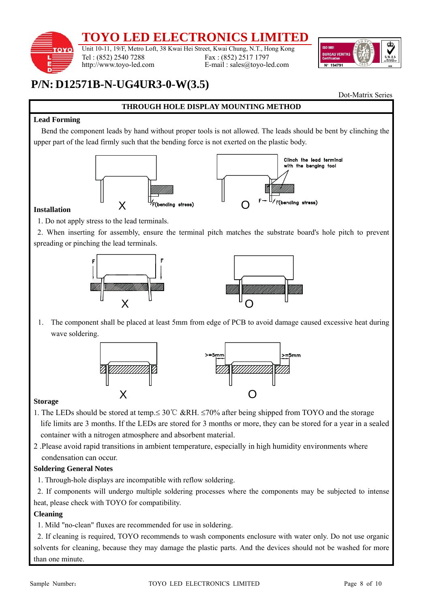# **TO LED ELECTRON**

Unit 10-11, 19/F, Metro Loft, 38 Kwai Hei Street, Kwai Chung, N.T., Hong Kong http://www.toyo-led.com Fax : (852) 2517 1797 E-mail : sales@toyo-led.com



# **P/N: D12571B-N-UG4UR3-0-W(3.5)**

Tel : (852) 2540 7288

Dot-Matrix Series

### **Lead Forming**

**OYO** 

Bend the component leads by hand without proper tools is not allowed. The leads should be bent by clinching the upper part of the lead firmly such that the bending force is not exerted on the plastic body.

**THROUGH HOLE DISPLAY MOUNTING METHOD** 



### **Installation**

1. Do not apply stress to the lead terminals.

2. When inserting for assembly, ensure the terminal pitch matches the substrate board's hole pitch to prevent spreading or pinching the lead terminals.





1. The component shall be placed at least 5mm from edge of PCB to avoid damage caused excessive heat during wave soldering.



### **Storage**

- 1. The LEDs should be stored at temp.≤ 30 ℃ &RH. ≤70% after being shipped from TOYO and the storage life limits are 3 months. If the LEDs are stored for 3 months or more, they can be stored for a year in a sealed container with a nitrogen atmosphere and absorbent material.
- 2 .Please avoid rapid transitions in ambient temperature, especially in high humidity environments where condensation can occur.

### **Soldering General Notes**

1. Through-hole displays are incompatible with reflow soldering.

2. If components will undergo multiple soldering processes where the components may be subjected to intense heat, please check with TOYO for compatibility.

### **Cleaning**

1. Mild "no-clean" fluxes are recommended for use in soldering.

2. If cleaning is required, TOYO recommends to wash components enclosure with water only. Do not use organic solvents for cleaning, because they may damage the plastic parts. And the devices should not be washed for more than one minute.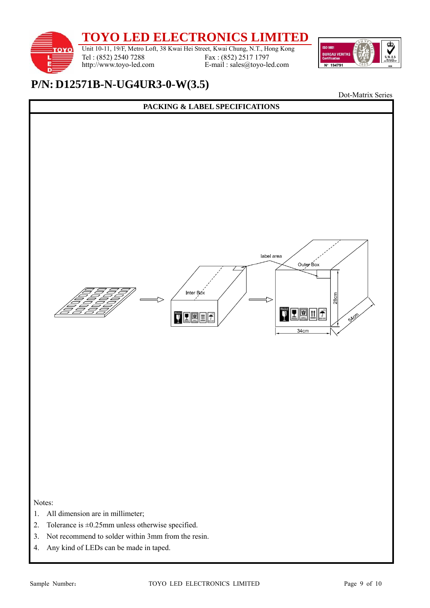**TOYO LED ELECTRONICS LIMITED**  Unit 10-11, 19/F, Metro Loft, 38 Kwai Hei Street, Kwai Chung, N.T., Hong Kong **ISO 9001** τοχο Fax : (852) 2517 1797 Tel : (852) 2540 7288 E-mail : sales@toyo-led.com http://www.toyo-led.com Nº 19479



# **P/N: D12571B-N-UG4UR3-0-W(3.5)**